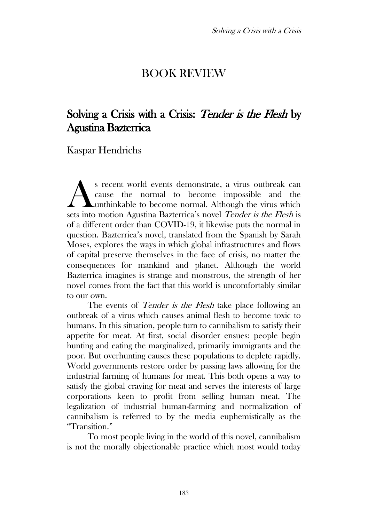## BOOK REVIEW

## Solving a Crisis with a Crisis: Tender is the Flesh by Agustina Bazterrica

Kaspar Hendrichs

s recent world events demonstrate, a virus outbreak can cause the normal to become impossible and the unthinkable to become normal. Although the virus which s recent world events demonstrate, a virus outbreak can cause the normal to become impossible and the unthinkable to become normal. Although the virus which sets into motion Agustina Bazterrica's novel *Tender is the Flesh* of a different order than COVID-19, it likewise puts the normal in question. Bazterrica's novel, translated from the Spanish by Sarah Moses, explores the ways in which global infrastructures and flows of capital preserve themselves in the face of crisis, no matter the consequences for mankind and planet. Although the world Bazterrica imagines is strange and monstrous, the strength of her novel comes from the fact that this world is uncomfortably similar to our own.

The events of *Tender is the Flesh* take place following an outbreak of a virus which causes animal flesh to become toxic to humans. In this situation, people turn to cannibalism to satisfy their appetite for meat. At first, social disorder ensues: people begin hunting and eating the marginalized, primarily immigrants and the poor. But overhunting causes these populations to deplete rapidly. World governments restore order by passing laws allowing for the industrial farming of humans for meat. This both opens a way to satisfy the global craving for meat and serves the interests of large corporations keen to profit from selling human meat. The legalization of industrial human-farming and normalization of cannibalism is referred to by the media euphemistically as the "Transition."

To most people living in the world of this novel, cannibalism is not the morally objectionable practice which most would today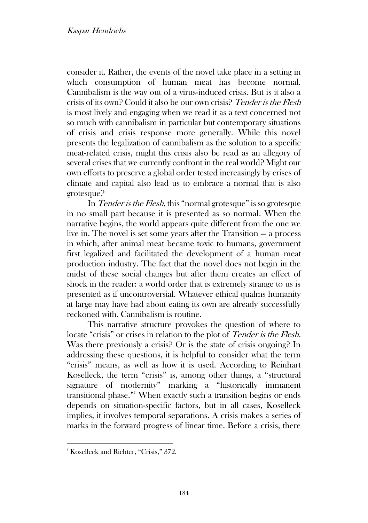consider it. Rather, the events of the novel take place in a setting in which consumption of human meat has become normal. Cannibalism is the way out of a virus-induced crisis. But is it also a crisis of its own? Could it also be our own crisis? Tender is the Flesh is most lively and engaging when we read it as a text concerned not so much with cannibalism in particular but contemporary situations of crisis and crisis response more generally. While this novel presents the legalization of cannibalism as the solution to a specific meat-related crisis, might this crisis also be read as an allegory of several crises that we currently confront in the real world? Might our own efforts to preserve a global order tested increasingly by crises of climate and capital also lead us to embrace a normal that is also grotesque?

In *Tender is the Flesh*, this "normal grotesque" is so grotesque in no small part because it is presented as so normal. When the narrative begins, the world appears quite different from the one we live in. The novel is set some years after the Transition — a process in which, after animal meat became toxic to humans, government first legalized and facilitated the development of a human meat production industry. The fact that the novel does not begin in the midst of these social changes but after them creates an effect of shock in the reader: a world order that is extremely strange to us is presented as if uncontroversial. Whatever ethical qualms humanity at large may have had about eating its own are already successfully reckoned with. Cannibalism is routine.

This narrative structure provokes the question of where to locate "crisis" or crises in relation to the plot of *Tender is the Flesh*. Was there previously a crisis? Or is the state of crisis ongoing? In addressing these questions, it is helpful to consider what the term "crisis" means, as well as how it is used. According to Reinhart Koselleck, the term "crisis" is, among other things, a "structural signature of modernity" marking a "historically immanent transitional phase." <sup>1</sup> When exactly such a transition begins or ends depends on situation-specific factors, but in all cases, Koselleck implies, it involves temporal separations. A crisis makes a series of marks in the forward progress of linear time. Before a crisis, there

<sup>&</sup>lt;sup>1</sup> Koselleck and Richter, "Crisis," 372.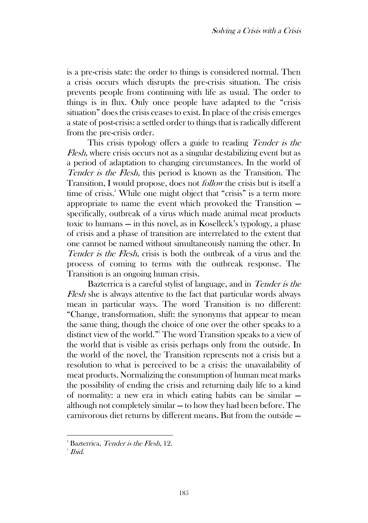is a pre-crisis state: the order to things is considered normal. Then a crisis occurs which disrupts the pre-crisis situation. The crisis prevents people from continuing with life as usual. The order to things is in flux. Only once people have adapted to the "crisis situation" does the crisis ceases to exist. In place of the crisis emerges a state of post-crisis: a settled order to things that is radically different from the pre-crisis order.

This crisis typology offers a guide to reading *Tender is the* Flesh, where crisis occurs not as a singular destabilizing event but as a period of adaptation to changing circumstances. In the world of Tender is the Flesh, this period is known as the Transition. The Transition, I would propose, does not follow the crisis but is itself a time of crisis.<sup>2</sup> While one might object that "crisis" is a term more appropriate to name the event which provoked the Transition specifically, outbreak of a virus which made animal meat products toxic to humans — in this novel, as in Koselleck's typology, a phase of crisis and a phase of transition are interrelated to the extent that one cannot be named without simultaneously naming the other. In Tender is the Flesh, crisis is both the outbreak of a virus and the process of coming to terms with the outbreak response. The Transition is an ongoing human crisis.

Bazterrica is a careful stylist of language, and in *Tender is the* Flesh she is always attentive to the fact that particular words always mean in particular ways. The word Transition is no different: "Change, transformation, shift: the synonyms that appear to mean the same thing, though the choice of one over the other speaks to a distinct view of the world." <sup>3</sup> The word Transition speaks to a view of the world that is visible as crisis perhaps only from the outside. In the world of the novel, the Transition represents not a crisis but a resolution to what is perceived to be a crisis: the unavailability of meat products. Normalizing the consumption of human meat marks the possibility of ending the crisis and returning daily life to a kind of normality: a new era in which eating habits can be similar although not completely similar — to how they had been before. The carnivorous diet returns by different means. But from the outside —

 $2^2$  Bazterrica, *Tender is the Flesh*, 12.

 $^{\circ}$  Ibid.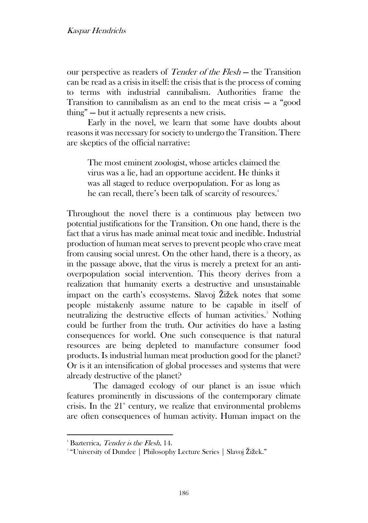our perspective as readers of *Tender of the Flesh* – the Transition can be read as a crisis in itself: the crisis that is the process of coming to terms with industrial cannibalism. Authorities frame the Transition to cannibalism as an end to the meat crisis — a "good thing" — but it actually represents a new crisis.

Early in the novel, we learn that some have doubts about reasons it was necessary for society to undergo the Transition. There are skeptics of the official narrative:

The most eminent zoologist, whose articles claimed the virus was a lie, had an opportune accident. He thinks it was all staged to reduce overpopulation. For as long as he can recall, there's been talk of scarcity of resources.<sup>4</sup>

Throughout the novel there is a continuous play between two potential justifications for the Transition. On one hand, there is the fact that a virus has made animal meat toxic and inedible. Industrial production of human meat serves to prevent people who crave meat from causing social unrest. On the other hand, there is a theory, as in the passage above, that the virus is merely a pretext for an antioverpopulation social intervention. This theory derives from a realization that humanity exerts a destructive and unsustainable impact on the earth's ecosystems. Slavoj Žižek notes that some people mistakenly assume nature to be capable in itself of neutralizing the destructive effects of human activities.<sup>5</sup> Nothing could be further from the truth. Our activities do have a lasting consequences for world. One such consequence is that natural resources are being depleted to manufacture consumer food products. Is industrial human meat production good for the planet? Or is it an intensification of global processes and systems that were already destructive of the planet?

The damaged ecology of our planet is an issue which features prominently in discussions of the contemporary climate crisis. In the  $21<sup>*</sup>$  century, we realize that environmental problems are often consequences of human activity. Human impact on the

<sup>&</sup>lt;sup>4</sup> Bazterrica, Tender is the Flesh, 14.

<sup>5</sup> "University of Dundee | Philosophy Lecture Series | Slavoj Žižek."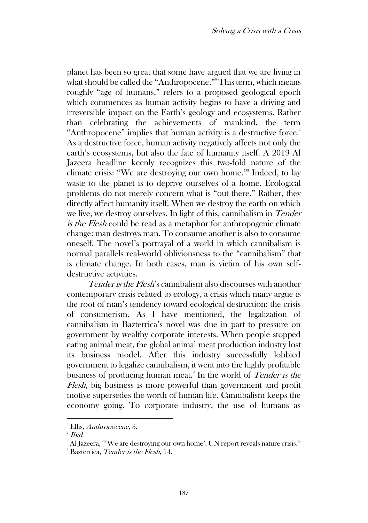planet has been so great that some have argued that we are living in what should be called the "Anthropocene." <sup>6</sup> This term, which means roughly "age of humans," refers to a proposed geological epoch which commences as human activity begins to have a driving and irreversible impact on the Earth's geology and ecosystems. Rather than celebrating the achievements of mankind, the term "Anthropocene" implies that human activity is a destructive force." As a destructive force, human activity negatively affects not only the earth's ecosystems, but also the fate of humanity itself. A 2019 Al Jazeera headline keenly recognizes this two-fold nature of the climate crisis: "We are destroying our own home." 8 Indeed, to lay waste to the planet is to deprive ourselves of a home. Ecological problems do not merely concern what is "out there." Rather, they directly affect humanity itself. When we destroy the earth on which we live, we destroy ourselves. In light of this, cannibalism in Tender is the Flesh could be read as a metaphor for anthropogenic climate change: man destroys man. To consume another is also to consume oneself. The novel's portrayal of a world in which cannibalism is normal parallels real-world obliviousness to the "cannibalism" that is climate change. In both cases, man is victim of his own selfdestructive activities.

Tender is the Flesh's cannibalism also discourses with another contemporary crisis related to ecology, a crisis which many argue is the root of man's tendency toward ecological destruction: the crisis of consumerism. As I have mentioned, the legalization of cannibalism in Bazterrica's novel was due in part to pressure on government by wealthy corporate interests. When people stopped eating animal meat, the global animal meat production industry lost its business model. After this industry successfully lobbied government to legalize cannibalism, it went into the highly profitable business of producing human meat.<sup>9</sup> In the world of *Tender is the* Flesh, big business is more powerful than government and profit motive supersedes the worth of human life. Cannibalism keeps the economy going. To corporate industry, the use of humans as

<sup>6</sup> Ellis, Anthropocene, 3.

<sup>7</sup> Ibid.

<sup>&</sup>lt;sup>8</sup> Al Jazeera, "We are destroying our own home': UN report reveals nature crisis."

<sup>&</sup>lt;sup>9</sup> Bazterrica, *Tender is the Flesh*, 14.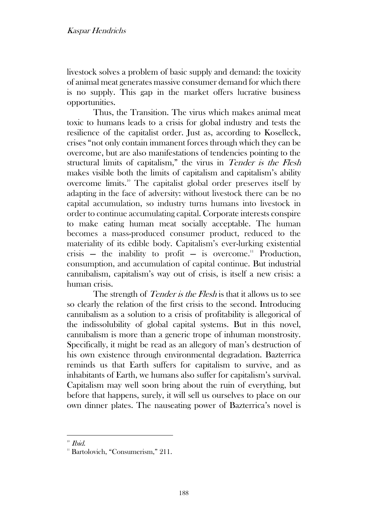livestock solves a problem of basic supply and demand: the toxicity of animal meat generates massive consumer demand for which there is no supply. This gap in the market offers lucrative business opportunities.

Thus, the Transition. The virus which makes animal meat toxic to humans leads to a crisis for global industry and tests the resilience of the capitalist order. Just as, according to Koselleck, crises "not only contain immanent forces through which they can be overcome, but are also manifestations of tendencies pointing to the structural limits of capitalism," the virus in Tender is the Flesh makes visible both the limits of capitalism and capitalism's ability overcome limits.<sup>10</sup> The capitalist global order preserves itself by adapting in the face of adversity: without livestock there can be no capital accumulation, so industry turns humans into livestock in order to continue accumulating capital. Corporate interests conspire to make eating human meat socially acceptable. The human becomes a mass-produced consumer product, reduced to the materiality of its edible body. Capitalism's ever-lurking existential crisis — the inability to profit — is overcome.<sup>11</sup> Production, consumption, and accumulation of capital continue. But industrial cannibalism, capitalism's way out of crisis, is itself a new crisis: a human crisis.

The strength of *Tender is the Flesh* is that it allows us to see so clearly the relation of the first crisis to the second. Introducing cannibalism as a solution to a crisis of profitability is allegorical of the indissolubility of global capital systems. But in this novel, cannibalism is more than a generic trope of inhuman monstrosity. Specifically, it might be read as an allegory of man's destruction of his own existence through environmental degradation. Bazterrica reminds us that Earth suffers for capitalism to survive, and as inhabitants of Earth, we humans also suffer for capitalism's survival. Capitalism may well soon bring about the ruin of everything, but before that happens, surely, it will sell us ourselves to place on our own dinner plates. The nauseating power of Bazterrica's novel is

 $10$  *Ibid.* 

<sup>&</sup>lt;sup>11</sup> Bartolovich, "Consumerism," 211.